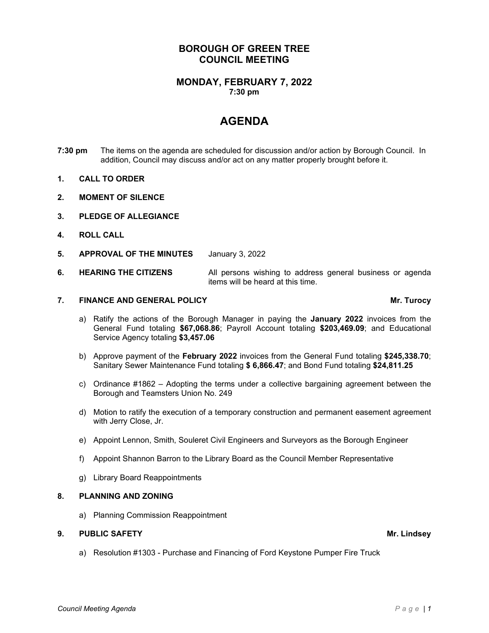## **BOROUGH OF GREEN TREE COUNCIL MEETING**

### **MONDAY, FEBRUARY 7, 2022 7:30 pm**

# **AGENDA**

- **7:30 pm** The items on the agenda are scheduled for discussion and/or action by Borough Council. In addition, Council may discuss and/or act on any matter properly brought before it.
- **1. CALL TO ORDER**
- **2. MOMENT OF SILENCE**
- **3. PLEDGE OF ALLEGIANCE**
- **4. ROLL CALL**
- **5. APPROVAL OF THE MINUTES** January 3, 2022

### **6. HEARING THE CITIZENS** All persons wishing to address general business or agenda items will be heard at this time.

### **7. FINANCE AND GENERAL POLICY Mr. Turocy**

- a) Ratify the actions of the Borough Manager in paying the **January 2022** invoices from the General Fund totaling **\$67,068.86**; Payroll Account totaling **\$203,469.09**; and Educational Service Agency totaling **\$3,457.06**
- b) Approve payment of the **February 2022** invoices from the General Fund totaling **\$245,338.70**; Sanitary Sewer Maintenance Fund totaling **\$ 6,866.47**; and Bond Fund totaling **\$24,811.25**
- c) Ordinance #1862 Adopting the terms under a collective bargaining agreement between the Borough and Teamsters Union No. 249
- d) Motion to ratify the execution of a temporary construction and permanent easement agreement with Jerry Close, Jr.
- e) Appoint Lennon, Smith, Souleret Civil Engineers and Surveyors as the Borough Engineer
- f) Appoint Shannon Barron to the Library Board as the Council Member Representative
- g) Library Board Reappointments

### **8. PLANNING AND ZONING**

a) Planning Commission Reappointment

### **9. PUBLIC SAFETY Mr. Lindsey**

a) Resolution #1303 - Purchase and Financing of Ford Keystone Pumper Fire Truck